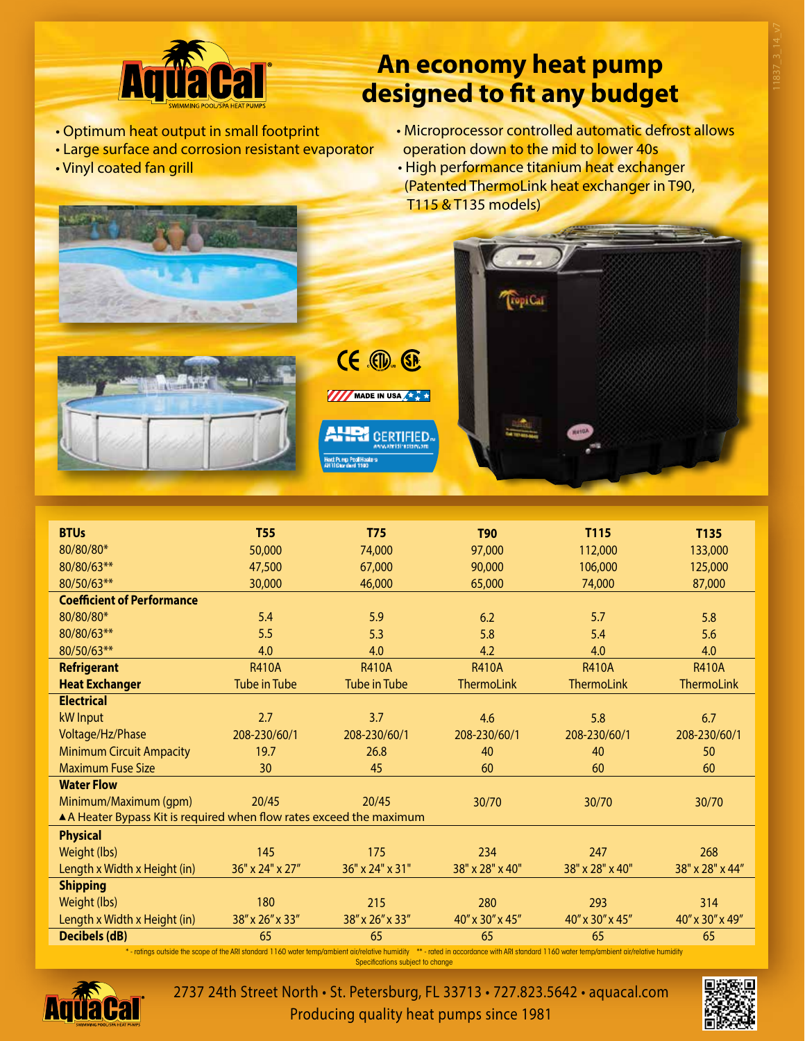

## **An economy heat pump designed to fit any budget**

- Optimum heat output in small footprint
- Large surface and corrosion resistant evaporator
- Vinyl coated fan grill
- Microprocessor controlled automatic defrost allows operation down to the mid to lower 40s
- High performance titanium heat exchanger (Patented ThermoLink heat exchanger in T90, T115 & T135 models)



| <b>BTUs</b>                                                                                                                                                                                                        | <b>T55</b>          | <b>T75</b>          | <b>T90</b>        | T115              | T135              |
|--------------------------------------------------------------------------------------------------------------------------------------------------------------------------------------------------------------------|---------------------|---------------------|-------------------|-------------------|-------------------|
| 80/80/80*                                                                                                                                                                                                          | 50,000              | 74,000              | 97,000            | 112,000           | 133,000           |
| 80/80/63**                                                                                                                                                                                                         | 47,500              | 67,000              | 90,000            | 106,000           | 125,000           |
| 80/50/63**                                                                                                                                                                                                         | 30,000              | 46,000              | 65,000            | 74,000            | 87,000            |
| <b>Coefficient of Performance</b>                                                                                                                                                                                  |                     |                     |                   |                   |                   |
| 80/80/80*                                                                                                                                                                                                          | 5.4                 | 5.9                 | 6.2               | 5.7               | 5.8               |
| 80/80/63**                                                                                                                                                                                                         | 5.5                 | 5.3                 | 5.8               | 5.4               | 5.6               |
|                                                                                                                                                                                                                    |                     |                     |                   |                   |                   |
| 80/50/63**                                                                                                                                                                                                         | 4.0                 | 4.0                 | 4.2               | 4.0               | 4.0               |
| <b>Refrigerant</b>                                                                                                                                                                                                 | <b>R410A</b>        | <b>R410A</b>        | <b>R410A</b>      | <b>R410A</b>      | <b>R410A</b>      |
| <b>Heat Exchanger</b>                                                                                                                                                                                              | <b>Tube in Tube</b> | <b>Tube in Tube</b> | <b>ThermoLink</b> | <b>ThermoLink</b> | <b>ThermoLink</b> |
| <b>Electrical</b>                                                                                                                                                                                                  |                     |                     |                   |                   |                   |
| kW Input                                                                                                                                                                                                           | 2.7                 | 3.7                 | 4.6               | 5.8               | 6.7               |
| Voltage/Hz/Phase                                                                                                                                                                                                   | 208-230/60/1        | 208-230/60/1        | 208-230/60/1      | 208-230/60/1      | 208-230/60/1      |
| <b>Minimum Circuit Ampacity</b>                                                                                                                                                                                    | 19.7                | 26.8                | 40                | 40                | 50                |
| <b>Maximum Fuse Size</b>                                                                                                                                                                                           | 30                  | 45                  | 60                | 60                | 60                |
| <b>Water Flow</b>                                                                                                                                                                                                  |                     |                     |                   |                   |                   |
| Minimum/Maximum (qpm)                                                                                                                                                                                              | 20/45               | 20/45               | 30/70             | 30/70             | 30/70             |
| A Heater Bypass Kit is required when flow rates exceed the maximum                                                                                                                                                 |                     |                     |                   |                   |                   |
| <b>Physical</b>                                                                                                                                                                                                    |                     |                     |                   |                   |                   |
| Weight (lbs)                                                                                                                                                                                                       | 145                 | 175                 | 234               | 247               | 268               |
| Length x Width x Height (in)                                                                                                                                                                                       | 36" x 24" x 27"     | 36" x 24" x 31"     | 38" x 28" x 40"   | 38" x 28" x 40"   | 38" x 28" x 44"   |
| <b>Shipping</b>                                                                                                                                                                                                    |                     |                     |                   |                   |                   |
| Weight (lbs)                                                                                                                                                                                                       | 180                 | 215                 | 280               | 293               | 314               |
| Length x Width x Height (in)                                                                                                                                                                                       | 38" x 26" x 33"     | 38" x 26" x 33"     | 40" x 30" x 45"   | 40" x 30" x 45"   | 40" x 30" x 49"   |
| <b>Decibels (dB)</b>                                                                                                                                                                                               | 65                  | 65                  | 65                | 65                | 65                |
| *- ratings outside the scope of the ARI standard 1160 water temp/ambient air/relative humidity **- rated in accordance with ARI standard 1160 water temp/ambient air/relative humidity<br>Canalfortiana qubination |                     |                     |                   |                   |                   |

Specifications subject to change



2737 24th Street North • St. Petersburg, FL 33713 • 727.823.5642 • aquacal.com Producing quality heat pumps since 1981